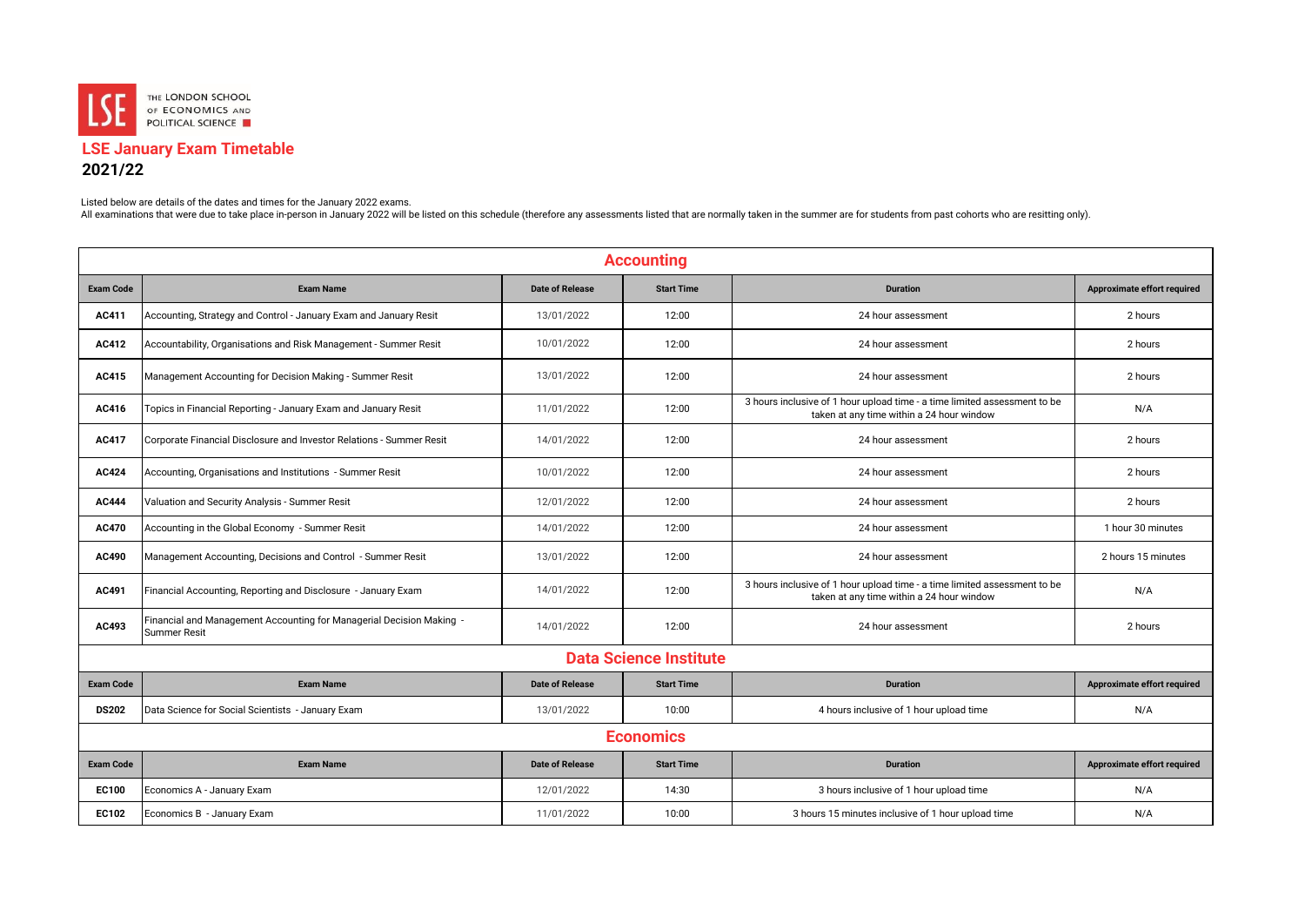

## **LSE January Exam Timetable**

## **2021/22**

Listed below are details of the dates and times for the January 2022 exams.

Live a minimations that were due to take place in-person in January 2022 will be listed on this schedule (therefore any assessments listed that are normally taken in the summer are for students from past cohorts who are re

| <b>Accounting</b> |                                                                                             |                        |                   |                                                                                                                        |                             |  |  |
|-------------------|---------------------------------------------------------------------------------------------|------------------------|-------------------|------------------------------------------------------------------------------------------------------------------------|-----------------------------|--|--|
| <b>Exam Code</b>  | <b>Exam Name</b>                                                                            | <b>Date of Release</b> | <b>Start Time</b> | <b>Duration</b>                                                                                                        | Approximate effort required |  |  |
| AC411             | Accounting, Strategy and Control - January Exam and January Resit                           | 13/01/2022             | 12:00             | 24 hour assessment                                                                                                     | 2 hours                     |  |  |
| AC412             | Accountability, Organisations and Risk Management - Summer Resit                            | 10/01/2022             | 12:00             | 24 hour assessment                                                                                                     | 2 hours                     |  |  |
| AC415             | Management Accounting for Decision Making - Summer Resit                                    | 13/01/2022             | 12:00             | 24 hour assessment                                                                                                     | 2 hours                     |  |  |
| AC416             | Topics in Financial Reporting - January Exam and January Resit                              | 11/01/2022             | 12:00             | 3 hours inclusive of 1 hour upload time - a time limited assessment to be<br>taken at any time within a 24 hour window | N/A                         |  |  |
| AC417             | Corporate Financial Disclosure and Investor Relations - Summer Resit                        | 14/01/2022             | 12:00             | 24 hour assessment                                                                                                     | 2 hours                     |  |  |
| AC424             | Accounting, Organisations and Institutions - Summer Resit                                   | 10/01/2022             | 12:00             | 24 hour assessment                                                                                                     | 2 hours                     |  |  |
| AC444             | Valuation and Security Analysis - Summer Resit                                              | 12/01/2022             | 12:00             | 24 hour assessment                                                                                                     | 2 hours                     |  |  |
| AC470             | Accounting in the Global Economy - Summer Resit                                             | 14/01/2022             | 12:00             | 24 hour assessment                                                                                                     | 1 hour 30 minutes           |  |  |
| AC490             | Management Accounting, Decisions and Control - Summer Resit                                 | 13/01/2022             | 12:00             | 24 hour assessment                                                                                                     | 2 hours 15 minutes          |  |  |
| AC491             | Financial Accounting, Reporting and Disclosure - January Exam                               | 14/01/2022             | 12:00             | 3 hours inclusive of 1 hour upload time - a time limited assessment to be<br>taken at any time within a 24 hour window | N/A                         |  |  |
| AC493             | Financial and Management Accounting for Managerial Decision Making -<br><b>Summer Resit</b> | 14/01/2022             | 12:00             | 24 hour assessment                                                                                                     | 2 hours                     |  |  |
|                   | <b>Data Science Institute</b>                                                               |                        |                   |                                                                                                                        |                             |  |  |
| <b>Exam Code</b>  | <b>Exam Name</b>                                                                            | <b>Date of Release</b> | <b>Start Time</b> | <b>Duration</b>                                                                                                        | Approximate effort required |  |  |
| <b>DS202</b>      | Data Science for Social Scientists - January Exam                                           | 13/01/2022             | 10:00             | 4 hours inclusive of 1 hour upload time                                                                                | N/A                         |  |  |
| <b>Economics</b>  |                                                                                             |                        |                   |                                                                                                                        |                             |  |  |
| <b>Exam Code</b>  | <b>Exam Name</b>                                                                            | <b>Date of Release</b> | <b>Start Time</b> | <b>Duration</b>                                                                                                        | Approximate effort required |  |  |
| EC100             | Economics A - January Exam                                                                  | 12/01/2022             | 14:30             | 3 hours inclusive of 1 hour upload time                                                                                | N/A                         |  |  |
| EC102             | Economics B - January Exam                                                                  | 11/01/2022             | 10:00             | 3 hours 15 minutes inclusive of 1 hour upload time                                                                     | N/A                         |  |  |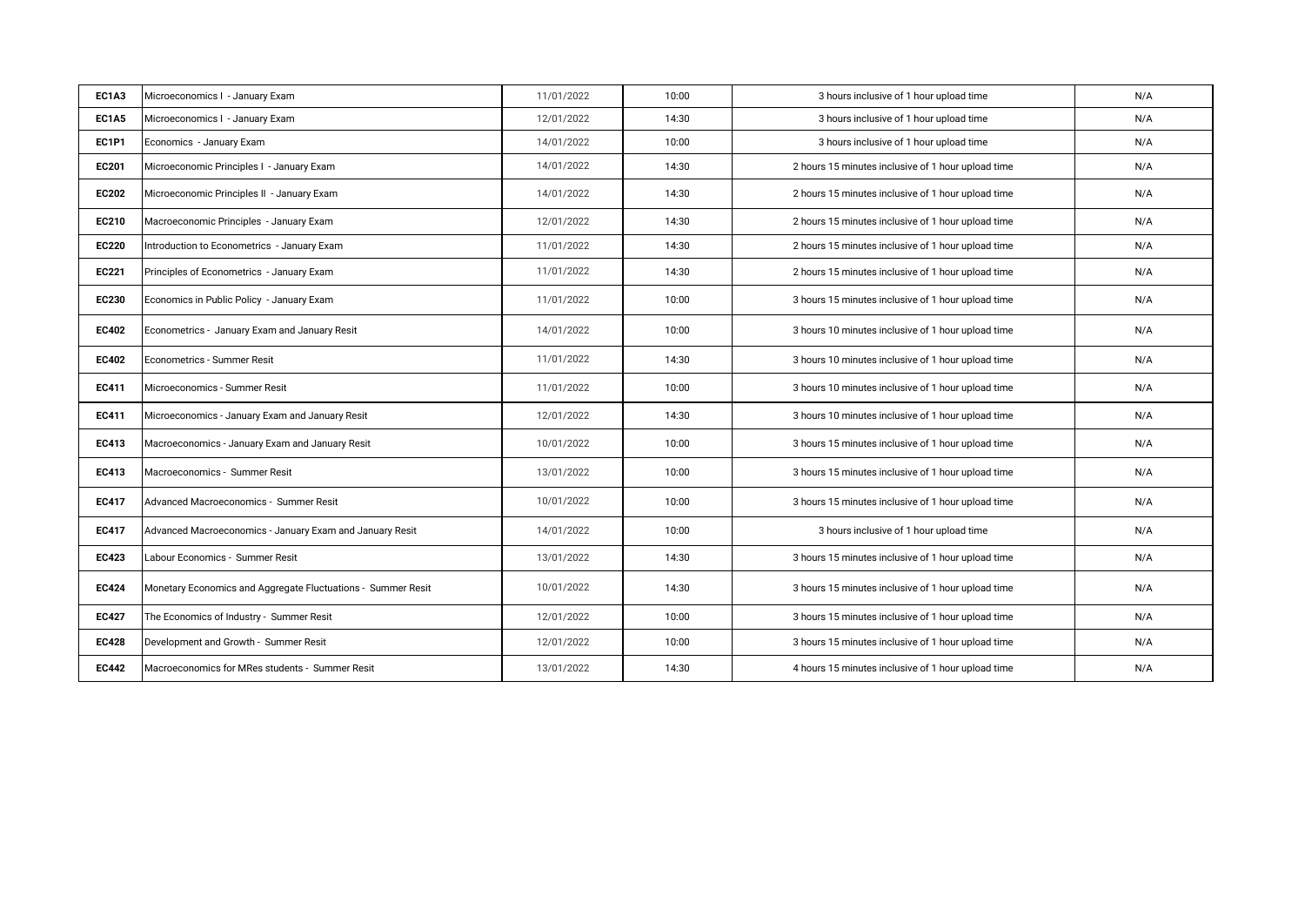| EC1A3        | Microeconomics I - January Exam                              | 11/01/2022 | 10:00 | 3 hours inclusive of 1 hour upload time            | N/A |
|--------------|--------------------------------------------------------------|------------|-------|----------------------------------------------------|-----|
| <b>EC1A5</b> | Microeconomics I - January Exam                              | 12/01/2022 | 14:30 | 3 hours inclusive of 1 hour upload time            | N/A |
| <b>EC1P1</b> | Economics - January Exam                                     | 14/01/2022 | 10:00 | 3 hours inclusive of 1 hour upload time            | N/A |
| EC201        | Microeconomic Principles I - January Exam                    | 14/01/2022 | 14:30 | 2 hours 15 minutes inclusive of 1 hour upload time | N/A |
| <b>EC202</b> | Microeconomic Principles II - January Exam                   | 14/01/2022 | 14:30 | 2 hours 15 minutes inclusive of 1 hour upload time | N/A |
| EC210        | Macroeconomic Principles - January Exam                      | 12/01/2022 | 14:30 | 2 hours 15 minutes inclusive of 1 hour upload time | N/A |
| <b>EC220</b> | Introduction to Econometrics - January Exam                  | 11/01/2022 | 14:30 | 2 hours 15 minutes inclusive of 1 hour upload time | N/A |
| <b>EC221</b> | Principles of Econometrics - January Exam                    | 11/01/2022 | 14:30 | 2 hours 15 minutes inclusive of 1 hour upload time | N/A |
| <b>EC230</b> | Economics in Public Policy - January Exam                    | 11/01/2022 | 10:00 | 3 hours 15 minutes inclusive of 1 hour upload time | N/A |
| EC402        | Econometrics - January Exam and January Resit                | 14/01/2022 | 10:00 | 3 hours 10 minutes inclusive of 1 hour upload time | N/A |
| <b>EC402</b> | Econometrics - Summer Resit                                  | 11/01/2022 | 14:30 | 3 hours 10 minutes inclusive of 1 hour upload time | N/A |
| EC411        | Microeconomics - Summer Resit                                | 11/01/2022 | 10:00 | 3 hours 10 minutes inclusive of 1 hour upload time | N/A |
| <b>EC411</b> | Microeconomics - January Exam and January Resit              | 12/01/2022 | 14:30 | 3 hours 10 minutes inclusive of 1 hour upload time | N/A |
| EC413        | Macroeconomics - January Exam and January Resit              | 10/01/2022 | 10:00 | 3 hours 15 minutes inclusive of 1 hour upload time | N/A |
| EC413        | Macroeconomics - Summer Resit                                | 13/01/2022 | 10:00 | 3 hours 15 minutes inclusive of 1 hour upload time | N/A |
| <b>EC417</b> | Advanced Macroeconomics - Summer Resit                       | 10/01/2022 | 10:00 | 3 hours 15 minutes inclusive of 1 hour upload time | N/A |
| <b>EC417</b> | Advanced Macroeconomics - January Exam and January Resit     | 14/01/2022 | 10:00 | 3 hours inclusive of 1 hour upload time            | N/A |
| <b>EC423</b> | Labour Economics - Summer Resit                              | 13/01/2022 | 14:30 | 3 hours 15 minutes inclusive of 1 hour upload time | N/A |
| <b>EC424</b> | Monetary Economics and Aggregate Fluctuations - Summer Resit | 10/01/2022 | 14:30 | 3 hours 15 minutes inclusive of 1 hour upload time | N/A |
| <b>EC427</b> | The Economics of Industry - Summer Resit                     | 12/01/2022 | 10:00 | 3 hours 15 minutes inclusive of 1 hour upload time | N/A |
| <b>EC428</b> | Development and Growth - Summer Resit                        | 12/01/2022 | 10:00 | 3 hours 15 minutes inclusive of 1 hour upload time | N/A |
| <b>EC442</b> | Macroeconomics for MRes students - Summer Resit              | 13/01/2022 | 14:30 | 4 hours 15 minutes inclusive of 1 hour upload time | N/A |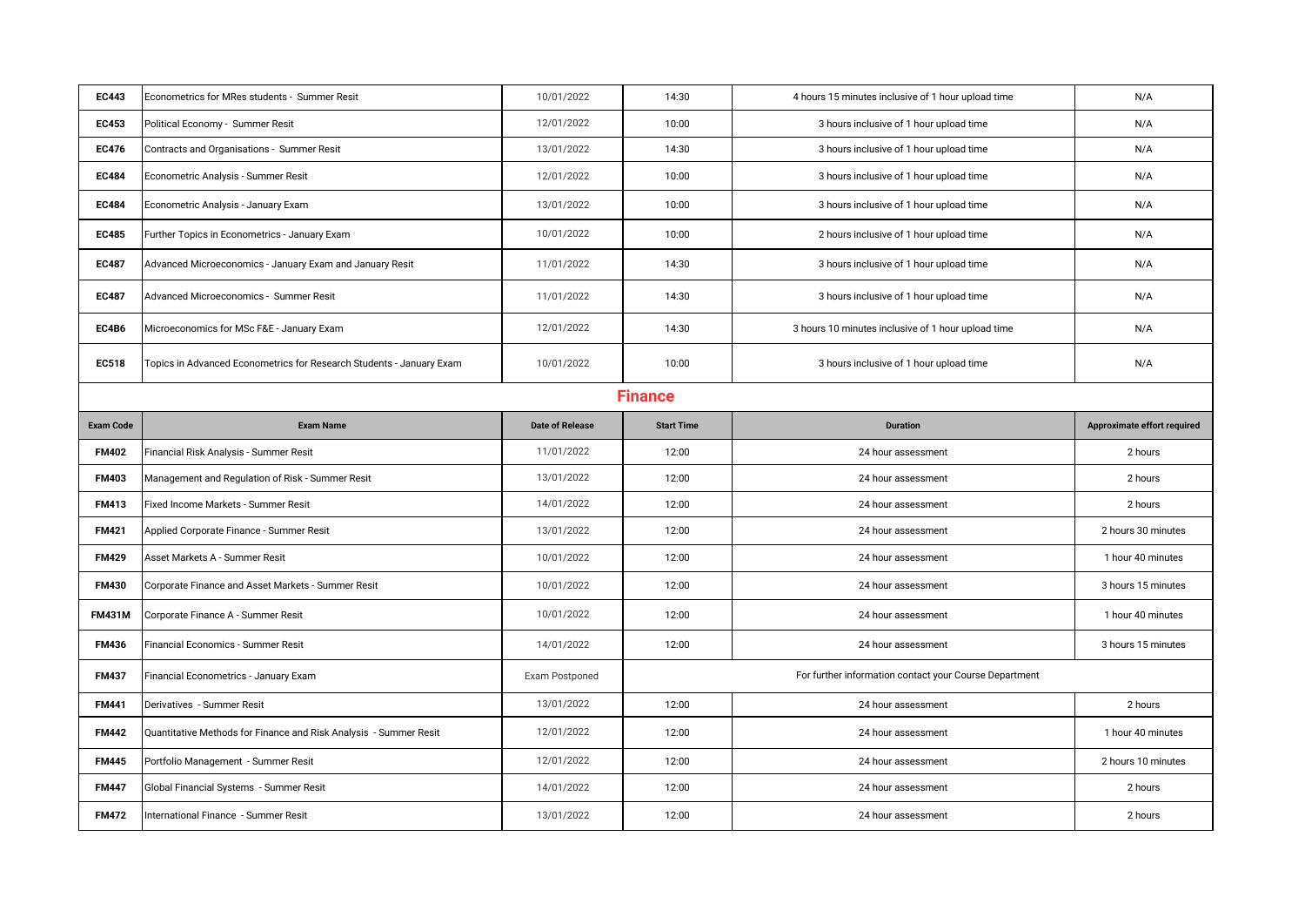| <b>EC443</b>     | Econometrics for MRes students - Summer Resit                        | 10/01/2022             | 14:30             | 4 hours 15 minutes inclusive of 1 hour upload time     | N/A                         |  |  |
|------------------|----------------------------------------------------------------------|------------------------|-------------------|--------------------------------------------------------|-----------------------------|--|--|
| <b>EC453</b>     | Political Economy - Summer Resit                                     | 12/01/2022             | 10:00             | 3 hours inclusive of 1 hour upload time                | N/A                         |  |  |
| <b>EC476</b>     | Contracts and Organisations - Summer Resit                           | 13/01/2022             | 14:30             | 3 hours inclusive of 1 hour upload time                | N/A                         |  |  |
| <b>EC484</b>     | Econometric Analysis - Summer Resit                                  | 12/01/2022             | 10:00             | 3 hours inclusive of 1 hour upload time                | N/A                         |  |  |
| <b>EC484</b>     | Econometric Analysis - January Exam                                  | 13/01/2022             | 10:00             | 3 hours inclusive of 1 hour upload time                | N/A                         |  |  |
| <b>EC485</b>     | Further Topics in Econometrics - January Exam                        | 10/01/2022             | 10:00             | 2 hours inclusive of 1 hour upload time                | N/A                         |  |  |
| <b>EC487</b>     | Advanced Microeconomics - January Exam and January Resit             | 11/01/2022             | 14:30             | 3 hours inclusive of 1 hour upload time                | N/A                         |  |  |
| <b>EC487</b>     | <b>Advanced Microeconomics - Summer Resit</b>                        | 11/01/2022             | 14:30             | 3 hours inclusive of 1 hour upload time                | N/A                         |  |  |
| EC4B6            | Microeconomics for MSc F&E - January Exam                            | 12/01/2022             | 14:30             | 3 hours 10 minutes inclusive of 1 hour upload time     | N/A                         |  |  |
| <b>EC518</b>     | Topics in Advanced Econometrics for Research Students - January Exam | 10/01/2022             | 10:00             | 3 hours inclusive of 1 hour upload time                | N/A                         |  |  |
|                  | <b>Finance</b>                                                       |                        |                   |                                                        |                             |  |  |
| <b>Exam Code</b> | <b>Exam Name</b>                                                     | <b>Date of Release</b> | <b>Start Time</b> | <b>Duration</b>                                        | Approximate effort required |  |  |
| <b>FM402</b>     | Financial Risk Analysis - Summer Resit                               | 11/01/2022             | 12:00             | 24 hour assessment                                     | 2 hours                     |  |  |
|                  |                                                                      |                        |                   |                                                        |                             |  |  |
| <b>FM403</b>     | Management and Regulation of Risk - Summer Resit                     | 13/01/2022             | 12:00             | 24 hour assessment                                     | 2 hours                     |  |  |
| <b>FM413</b>     | Fixed Income Markets - Summer Resit                                  | 14/01/2022             | 12:00             | 24 hour assessment                                     | 2 hours                     |  |  |
| <b>FM421</b>     | Applied Corporate Finance - Summer Resit                             | 13/01/2022             | 12:00             | 24 hour assessment                                     | 2 hours 30 minutes          |  |  |
| <b>FM429</b>     | Asset Markets A - Summer Resit                                       | 10/01/2022             | 12:00             | 24 hour assessment                                     | 1 hour 40 minutes           |  |  |
| <b>FM430</b>     | Corporate Finance and Asset Markets - Summer Resit                   | 10/01/2022             | 12:00             | 24 hour assessment                                     | 3 hours 15 minutes          |  |  |
| <b>FM431M</b>    | Corporate Finance A - Summer Resit                                   | 10/01/2022             | 12:00             | 24 hour assessment                                     | 1 hour 40 minutes           |  |  |
| <b>FM436</b>     | Financial Economics - Summer Resit                                   | 14/01/2022             | 12:00             | 24 hour assessment                                     | 3 hours 15 minutes          |  |  |
| <b>FM437</b>     | Financial Econometrics - January Exam                                | Exam Postponed         |                   | For further information contact your Course Department |                             |  |  |
| <b>FM441</b>     | Derivatives - Summer Resit                                           | 13/01/2022             | 12:00             | 24 hour assessment                                     | 2 hours                     |  |  |
| <b>FM442</b>     | Quantitative Methods for Finance and Risk Analysis - Summer Resit    | 12/01/2022             | 12:00             | 24 hour assessment                                     | 1 hour 40 minutes           |  |  |
| <b>FM445</b>     | Portfolio Management - Summer Resit                                  | 12/01/2022             | 12:00             | 24 hour assessment                                     | 2 hours 10 minutes          |  |  |
| <b>FM447</b>     | Global Financial Systems - Summer Resit                              | 14/01/2022             | 12:00             | 24 hour assessment                                     | 2 hours                     |  |  |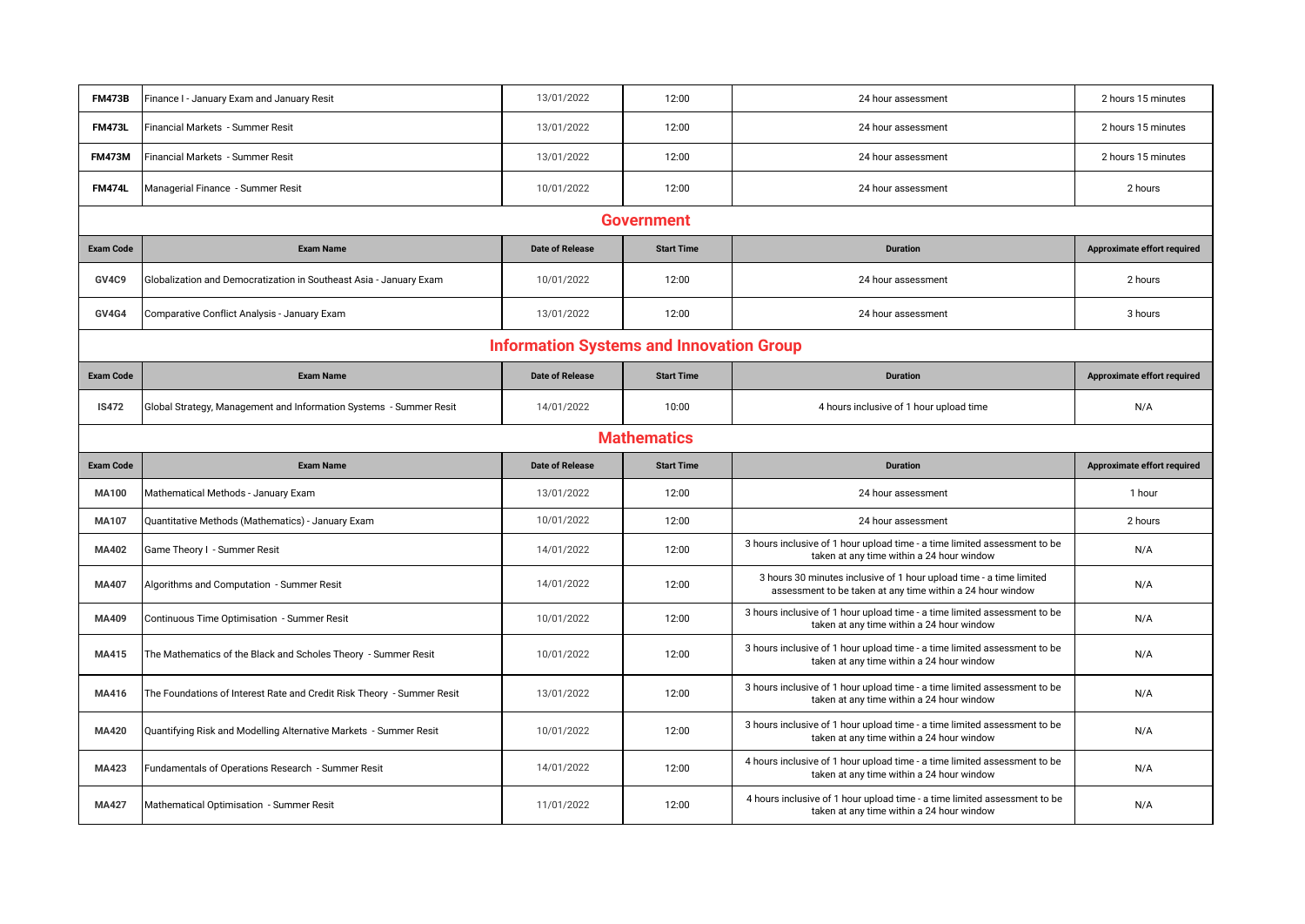| <b>FM473B</b>      | Finance I - January Exam and January Resit                             | 13/01/2022             | 12:00             | 24 hour assessment                                                                                                                | 2 hours 15 minutes          |  |  |  |
|--------------------|------------------------------------------------------------------------|------------------------|-------------------|-----------------------------------------------------------------------------------------------------------------------------------|-----------------------------|--|--|--|
| <b>FM473L</b>      | Financial Markets - Summer Resit                                       | 13/01/2022             | 12:00             | 24 hour assessment                                                                                                                | 2 hours 15 minutes          |  |  |  |
| <b>FM473M</b>      | Financial Markets - Summer Resit                                       | 13/01/2022             | 12:00             | 24 hour assessment                                                                                                                | 2 hours 15 minutes          |  |  |  |
| <b>FM474L</b>      | Managerial Finance - Summer Resit                                      | 10/01/2022             | 12:00             | 24 hour assessment                                                                                                                | 2 hours                     |  |  |  |
| <b>Government</b>  |                                                                        |                        |                   |                                                                                                                                   |                             |  |  |  |
| <b>Exam Code</b>   | <b>Exam Name</b>                                                       | <b>Date of Release</b> | <b>Start Time</b> | <b>Duration</b>                                                                                                                   | Approximate effort required |  |  |  |
| GV4C9              | Globalization and Democratization in Southeast Asia - January Exam     | 10/01/2022             | 12:00             | 24 hour assessment                                                                                                                | 2 hours                     |  |  |  |
| <b>GV4G4</b>       | Comparative Conflict Analysis - January Exam                           | 13/01/2022             | 12:00             | 24 hour assessment                                                                                                                | 3 hours                     |  |  |  |
|                    | <b>Information Systems and Innovation Group</b>                        |                        |                   |                                                                                                                                   |                             |  |  |  |
| <b>Exam Code</b>   | <b>Exam Name</b>                                                       | <b>Date of Release</b> | <b>Start Time</b> | <b>Duration</b>                                                                                                                   | Approximate effort required |  |  |  |
| <b>IS472</b>       | Global Strategy, Management and Information Systems - Summer Resit     | 14/01/2022             | 10:00             | 4 hours inclusive of 1 hour upload time                                                                                           | N/A                         |  |  |  |
| <b>Mathematics</b> |                                                                        |                        |                   |                                                                                                                                   |                             |  |  |  |
|                    |                                                                        |                        |                   |                                                                                                                                   |                             |  |  |  |
| <b>Exam Code</b>   | <b>Exam Name</b>                                                       | <b>Date of Release</b> | <b>Start Time</b> | <b>Duration</b>                                                                                                                   | Approximate effort required |  |  |  |
| <b>MA100</b>       | Mathematical Methods - January Exam                                    | 13/01/2022             | 12:00             | 24 hour assessment                                                                                                                | 1 hour                      |  |  |  |
| MA107              | Quantitative Methods (Mathematics) - January Exam                      | 10/01/2022             | 12:00             | 24 hour assessment                                                                                                                | 2 hours                     |  |  |  |
| <b>MA402</b>       | Game Theory I - Summer Resit                                           | 14/01/2022             | 12:00             | 3 hours inclusive of 1 hour upload time - a time limited assessment to be<br>taken at any time within a 24 hour window            | N/A                         |  |  |  |
| MA407              | Algorithms and Computation - Summer Resit                              | 14/01/2022             | 12:00             | 3 hours 30 minutes inclusive of 1 hour upload time - a time limited<br>assessment to be taken at any time within a 24 hour window | N/A                         |  |  |  |
| MA409              | Continuous Time Optimisation - Summer Resit                            | 10/01/2022             | 12:00             | 3 hours inclusive of 1 hour upload time - a time limited assessment to be<br>taken at any time within a 24 hour window            | N/A                         |  |  |  |
| MA415              | The Mathematics of the Black and Scholes Theory - Summer Resit         | 10/01/2022             | 12:00             | 3 hours inclusive of 1 hour upload time - a time limited assessment to be<br>taken at any time within a 24 hour window            | N/A                         |  |  |  |
| MA416              | The Foundations of Interest Rate and Credit Risk Theory - Summer Resit | 13/01/2022             | 12:00             | 3 hours inclusive of 1 hour upload time - a time limited assessment to be<br>taken at any time within a 24 hour window            | N/A                         |  |  |  |
| <b>MA420</b>       | Quantifying Risk and Modelling Alternative Markets - Summer Resit      | 10/01/2022             | 12:00             | 3 hours inclusive of 1 hour upload time - a time limited assessment to be<br>taken at any time within a 24 hour window            | N/A                         |  |  |  |
| MA423              | Fundamentals of Operations Research - Summer Resit                     | 14/01/2022             | 12:00             | 4 hours inclusive of 1 hour upload time - a time limited assessment to be<br>taken at any time within a 24 hour window            | N/A                         |  |  |  |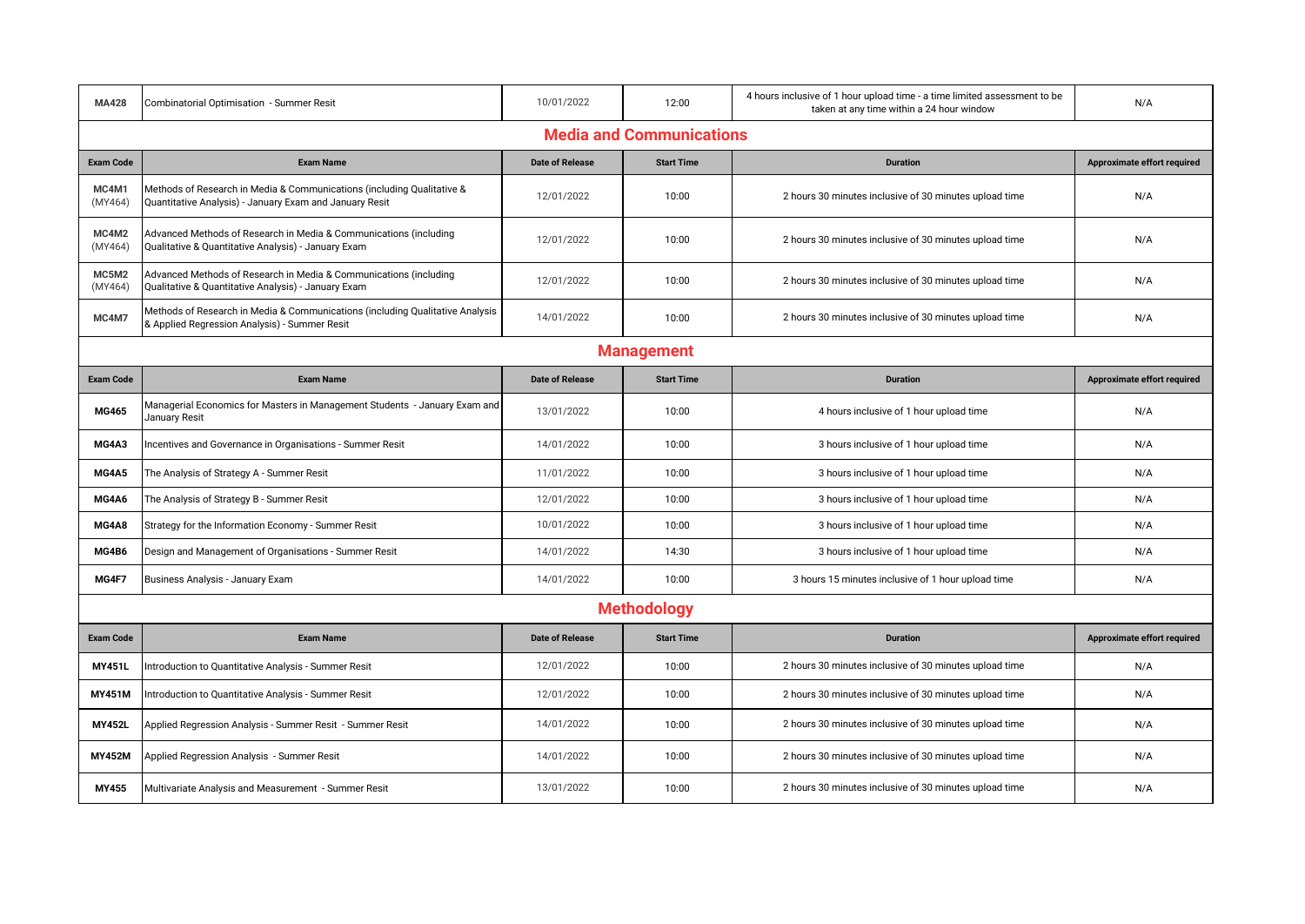| <b>MA428</b>                    | Combinatorial Optimisation - Summer Resit                                                                                         | 10/01/2022             | 12:00              | 4 hours inclusive of 1 hour upload time - a time limited assessment to be<br>taken at any time within a 24 hour window | N/A                         |  |
|---------------------------------|-----------------------------------------------------------------------------------------------------------------------------------|------------------------|--------------------|------------------------------------------------------------------------------------------------------------------------|-----------------------------|--|
| <b>Media and Communications</b> |                                                                                                                                   |                        |                    |                                                                                                                        |                             |  |
| <b>Exam Code</b>                | <b>Exam Name</b>                                                                                                                  | <b>Date of Release</b> | <b>Start Time</b>  | <b>Duration</b>                                                                                                        | Approximate effort required |  |
| MC4M1<br>(MY464)                | Methods of Research in Media & Communications (including Qualitative &<br>Quantitative Analysis) - January Exam and January Resit | 12/01/2022             | 10:00              | 2 hours 30 minutes inclusive of 30 minutes upload time                                                                 | N/A                         |  |
| MC4M2<br>(MY464)                | Advanced Methods of Research in Media & Communications (including<br>Qualitative & Quantitative Analysis) - January Exam          | 12/01/2022             | 10:00              | 2 hours 30 minutes inclusive of 30 minutes upload time                                                                 | N/A                         |  |
| MC5M2<br>(MY464)                | Advanced Methods of Research in Media & Communications (including<br>Qualitative & Quantitative Analysis) - January Exam          | 12/01/2022             | 10:00              | 2 hours 30 minutes inclusive of 30 minutes upload time                                                                 | N/A                         |  |
| MC4M7                           | Methods of Research in Media & Communications (including Qualitative Analysis<br>& Applied Regression Analysis) - Summer Resit    | 14/01/2022             | 10:00              | 2 hours 30 minutes inclusive of 30 minutes upload time                                                                 | N/A                         |  |
|                                 |                                                                                                                                   |                        | <b>Management</b>  |                                                                                                                        |                             |  |
| <b>Exam Code</b>                | <b>Exam Name</b>                                                                                                                  | <b>Date of Release</b> | <b>Start Time</b>  | <b>Duration</b>                                                                                                        | Approximate effort required |  |
| <b>MG465</b>                    | Managerial Economics for Masters in Management Students - January Exam and<br>January Resit                                       | 13/01/2022             | 10:00              | 4 hours inclusive of 1 hour upload time                                                                                | N/A                         |  |
| MG4A3                           | Incentives and Governance in Organisations - Summer Resit                                                                         | 14/01/2022             | 10:00              | 3 hours inclusive of 1 hour upload time                                                                                | N/A                         |  |
| MG4A5                           | The Analysis of Strategy A - Summer Resit                                                                                         | 11/01/2022             | 10:00              | 3 hours inclusive of 1 hour upload time                                                                                | N/A                         |  |
| MG4A6                           | The Analysis of Strategy B - Summer Resit                                                                                         | 12/01/2022             | 10:00              | 3 hours inclusive of 1 hour upload time                                                                                | N/A                         |  |
| MG4A8                           | Strategy for the Information Economy - Summer Resit                                                                               | 10/01/2022             | 10:00              | 3 hours inclusive of 1 hour upload time                                                                                | N/A                         |  |
| MG4B6                           | Design and Management of Organisations - Summer Resit                                                                             | 14/01/2022             | 14:30              | 3 hours inclusive of 1 hour upload time                                                                                | N/A                         |  |
| MG4F7                           | Business Analysis - January Exam                                                                                                  | 14/01/2022             | 10:00              | 3 hours 15 minutes inclusive of 1 hour upload time                                                                     | N/A                         |  |
|                                 |                                                                                                                                   |                        | <b>Methodology</b> |                                                                                                                        |                             |  |
| <b>Exam Code</b>                | <b>Exam Name</b>                                                                                                                  | <b>Date of Release</b> | <b>Start Time</b>  | <b>Duration</b>                                                                                                        | Approximate effort required |  |
| <b>MY451L</b>                   | Introduction to Quantitative Analysis - Summer Resit                                                                              | 12/01/2022             | 10:00              | 2 hours 30 minutes inclusive of 30 minutes upload time                                                                 | N/A                         |  |
| <b>MY451M</b>                   | Introduction to Quantitative Analysis - Summer Resit                                                                              | 12/01/2022             | 10:00              | 2 hours 30 minutes inclusive of 30 minutes upload time                                                                 | N/A                         |  |
| <b>MY452L</b>                   | Applied Regression Analysis - Summer Resit - Summer Resit                                                                         | 14/01/2022             | 10:00              | 2 hours 30 minutes inclusive of 30 minutes upload time                                                                 | N/A                         |  |
| <b>MY452M</b>                   | Applied Regression Analysis - Summer Resit                                                                                        | 14/01/2022             | 10:00              | 2 hours 30 minutes inclusive of 30 minutes upload time                                                                 | N/A                         |  |
| MY455                           | Multivariate Analysis and Measurement - Summer Resit                                                                              | 13/01/2022             | 10:00              | 2 hours 30 minutes inclusive of 30 minutes upload time                                                                 | N/A                         |  |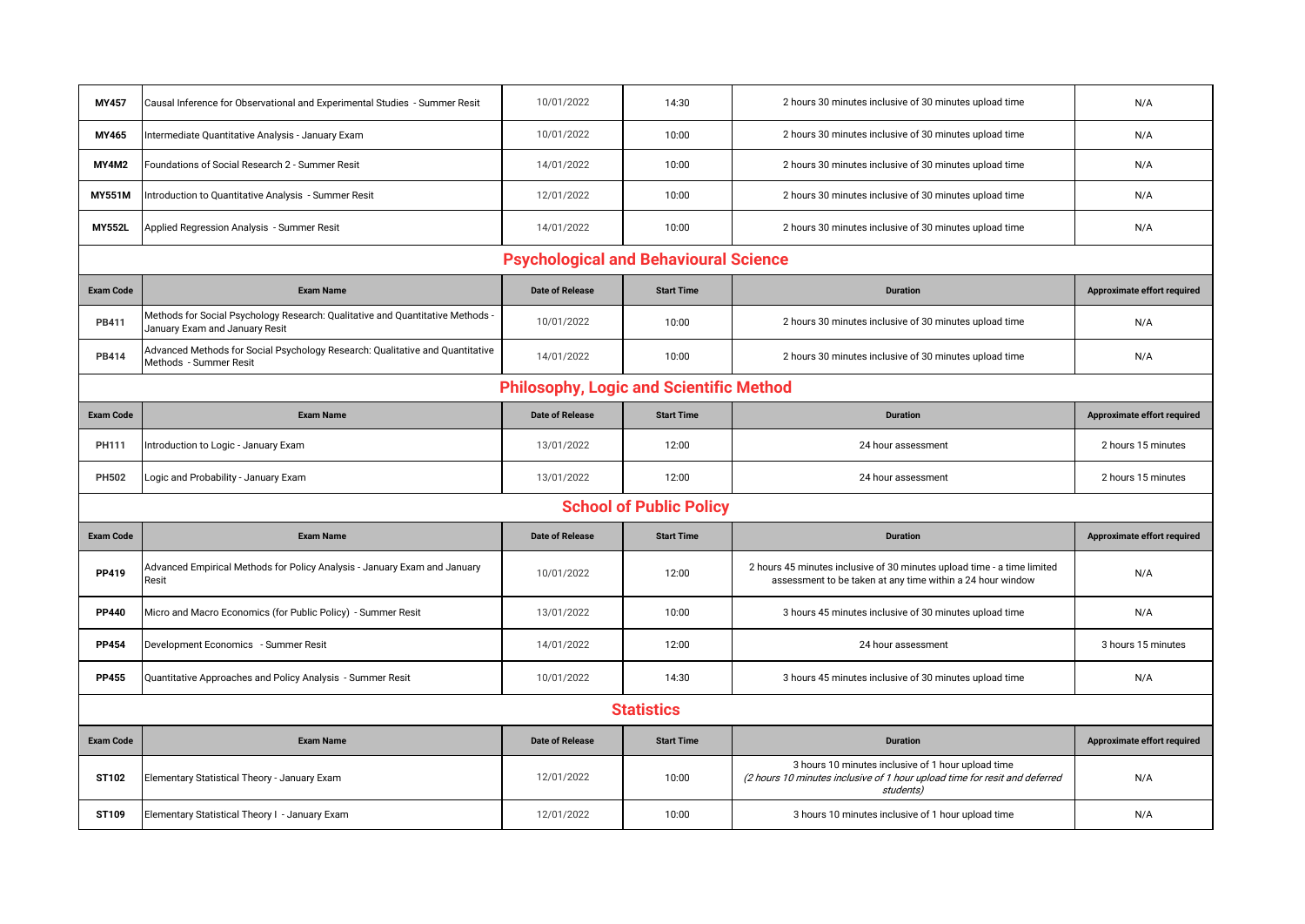| <b>MY457</b>                                   | Causal Inference for Observational and Experimental Studies - Summer Resit                                       | 10/01/2022             | 14:30                          | 2 hours 30 minutes inclusive of 30 minutes upload time                                                                                        | N/A                                |  |  |  |  |
|------------------------------------------------|------------------------------------------------------------------------------------------------------------------|------------------------|--------------------------------|-----------------------------------------------------------------------------------------------------------------------------------------------|------------------------------------|--|--|--|--|
| MY465                                          | Intermediate Quantitative Analysis - January Exam                                                                | 10/01/2022             | 10:00                          | 2 hours 30 minutes inclusive of 30 minutes upload time                                                                                        | N/A                                |  |  |  |  |
| <b>MY4M2</b>                                   | Foundations of Social Research 2 - Summer Resit                                                                  | 14/01/2022             | 10:00                          | 2 hours 30 minutes inclusive of 30 minutes upload time                                                                                        | N/A                                |  |  |  |  |
| <b>MY551M</b>                                  | ntroduction to Quantitative Analysis - Summer Resit                                                              | 12/01/2022             | 10:00                          | 2 hours 30 minutes inclusive of 30 minutes upload time                                                                                        | N/A                                |  |  |  |  |
| <b>MY552L</b>                                  | Applied Regression Analysis - Summer Resit                                                                       | 14/01/2022             | 10:00                          | 2 hours 30 minutes inclusive of 30 minutes upload time                                                                                        | N/A                                |  |  |  |  |
|                                                | <b>Psychological and Behavioural Science</b>                                                                     |                        |                                |                                                                                                                                               |                                    |  |  |  |  |
| <b>Exam Code</b>                               | <b>Exam Name</b>                                                                                                 | <b>Date of Release</b> | <b>Start Time</b>              | <b>Duration</b>                                                                                                                               | <b>Approximate effort required</b> |  |  |  |  |
| <b>PB411</b>                                   | Methods for Social Psychology Research: Qualitative and Quantitative Methods -<br>January Exam and January Resit | 10/01/2022             | 10:00                          | 2 hours 30 minutes inclusive of 30 minutes upload time                                                                                        | N/A                                |  |  |  |  |
| <b>PB414</b>                                   | Advanced Methods for Social Psychology Research: Qualitative and Quantitative<br>Methods - Summer Resit          | 14/01/2022             | 10:00                          | 2 hours 30 minutes inclusive of 30 minutes upload time                                                                                        | N/A                                |  |  |  |  |
| <b>Philosophy, Logic and Scientific Method</b> |                                                                                                                  |                        |                                |                                                                                                                                               |                                    |  |  |  |  |
| <b>Exam Code</b>                               | <b>Exam Name</b>                                                                                                 | <b>Date of Release</b> | <b>Start Time</b>              | <b>Duration</b>                                                                                                                               | Approximate effort required        |  |  |  |  |
| PH111                                          | Introduction to Logic - January Exam                                                                             | 13/01/2022             | 12:00                          | 24 hour assessment                                                                                                                            | 2 hours 15 minutes                 |  |  |  |  |
|                                                |                                                                                                                  |                        |                                |                                                                                                                                               |                                    |  |  |  |  |
| PH502                                          | Logic and Probability - January Exam                                                                             | 13/01/2022             | 12:00                          | 24 hour assessment                                                                                                                            | 2 hours 15 minutes                 |  |  |  |  |
|                                                |                                                                                                                  |                        | <b>School of Public Policy</b> |                                                                                                                                               |                                    |  |  |  |  |
| <b>Exam Code</b>                               | <b>Exam Name</b>                                                                                                 | <b>Date of Release</b> | <b>Start Time</b>              | <b>Duration</b>                                                                                                                               | Approximate effort required        |  |  |  |  |
| PP419                                          | Advanced Empirical Methods for Policy Analysis - January Exam and January<br>Resit                               | 10/01/2022             | 12:00                          | 2 hours 45 minutes inclusive of 30 minutes upload time - a time limited<br>assessment to be taken at any time within a 24 hour window         | N/A                                |  |  |  |  |
| <b>PP440</b>                                   | Micro and Macro Economics (for Public Policy) - Summer Resit                                                     | 13/01/2022             | 10:00                          | 3 hours 45 minutes inclusive of 30 minutes upload time                                                                                        | N/A                                |  |  |  |  |
| <b>PP454</b>                                   | Development Economics - Summer Resit                                                                             | 14/01/2022             | 12:00                          | 24 hour assessment                                                                                                                            | 3 hours 15 minutes                 |  |  |  |  |
| <b>PP455</b>                                   | Quantitative Approaches and Policy Analysis - Summer Resit                                                       | 10/01/2022             | 14:30                          | 3 hours 45 minutes inclusive of 30 minutes upload time                                                                                        | N/A                                |  |  |  |  |
|                                                |                                                                                                                  |                        | <b>Statistics</b>              |                                                                                                                                               |                                    |  |  |  |  |
| <b>Exam Code</b>                               | <b>Exam Name</b>                                                                                                 | <b>Date of Release</b> | <b>Start Time</b>              | <b>Duration</b>                                                                                                                               | Approximate effort required        |  |  |  |  |
| ST102                                          | Elementary Statistical Theory - January Exam                                                                     | 12/01/2022             | 10:00                          | 3 hours 10 minutes inclusive of 1 hour upload time<br>(2 hours 10 minutes inclusive of 1 hour upload time for resit and deferred<br>students) | N/A                                |  |  |  |  |